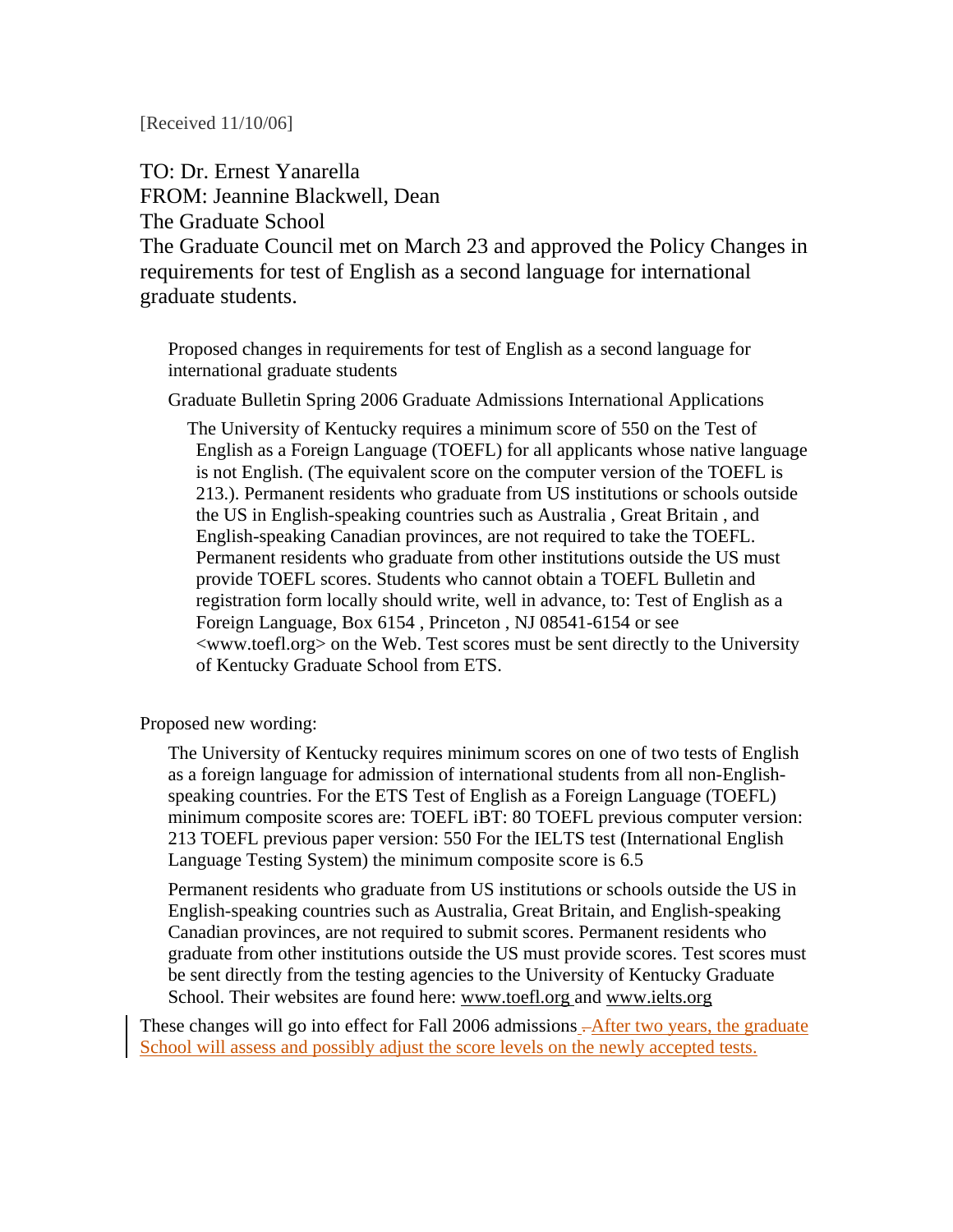[Received 11/10/06]

TO: Dr. Ernest Yanarella FROM: Jeannine Blackwell, Dean The Graduate School The Graduate Council met on March 23 and approved the Policy Changes in requirements for test of English as a second language for international graduate students.

Proposed changes in requirements for test of English as a second language for international graduate students

Graduate Bulletin Spring 2006 Graduate Admissions International Applications

 The University of Kentucky requires a minimum score of 550 on the Test of English as a Foreign Language (TOEFL) for all applicants whose native language is not English. (The equivalent score on the computer version of the TOEFL is 213.). Permanent residents who graduate from US institutions or schools outside the US in English-speaking countries such as Australia , Great Britain , and English-speaking Canadian provinces, are not required to take the TOEFL. Permanent residents who graduate from other institutions outside the US must provide TOEFL scores. Students who cannot obtain a TOEFL Bulletin and registration form locally should write, well in advance, to: Test of English as a Foreign Language, Box 6154 , Princeton , NJ 08541-6154 or see <www.toefl.org> on the Web. Test scores must be sent directly to the University of Kentucky Graduate School from ETS.

Proposed new wording:

The University of Kentucky requires minimum scores on one of two tests of English as a foreign language for admission of international students from all non-Englishspeaking countries. For the ETS Test of English as a Foreign Language (TOEFL) minimum composite scores are: TOEFL iBT: 80 TOEFL previous computer version: 213 TOEFL previous paper version: 550 For the IELTS test (International English Language Testing System) the minimum composite score is 6.5

Permanent residents who graduate from US institutions or schools outside the US in English-speaking countries such as Australia, Great Britain, and English-speaking Canadian provinces, are not required to submit scores. Permanent residents who graduate from other institutions outside the US must provide scores. Test scores must be sent directly from the testing agencies to the University of Kentucky Graduate School. Their websites are found here: www.toefl.org and www.ielts.org

These changes will go into effect for Fall 2006 admissions - After two years, the graduate School will assess and possibly adjust the score levels on the newly accepted tests.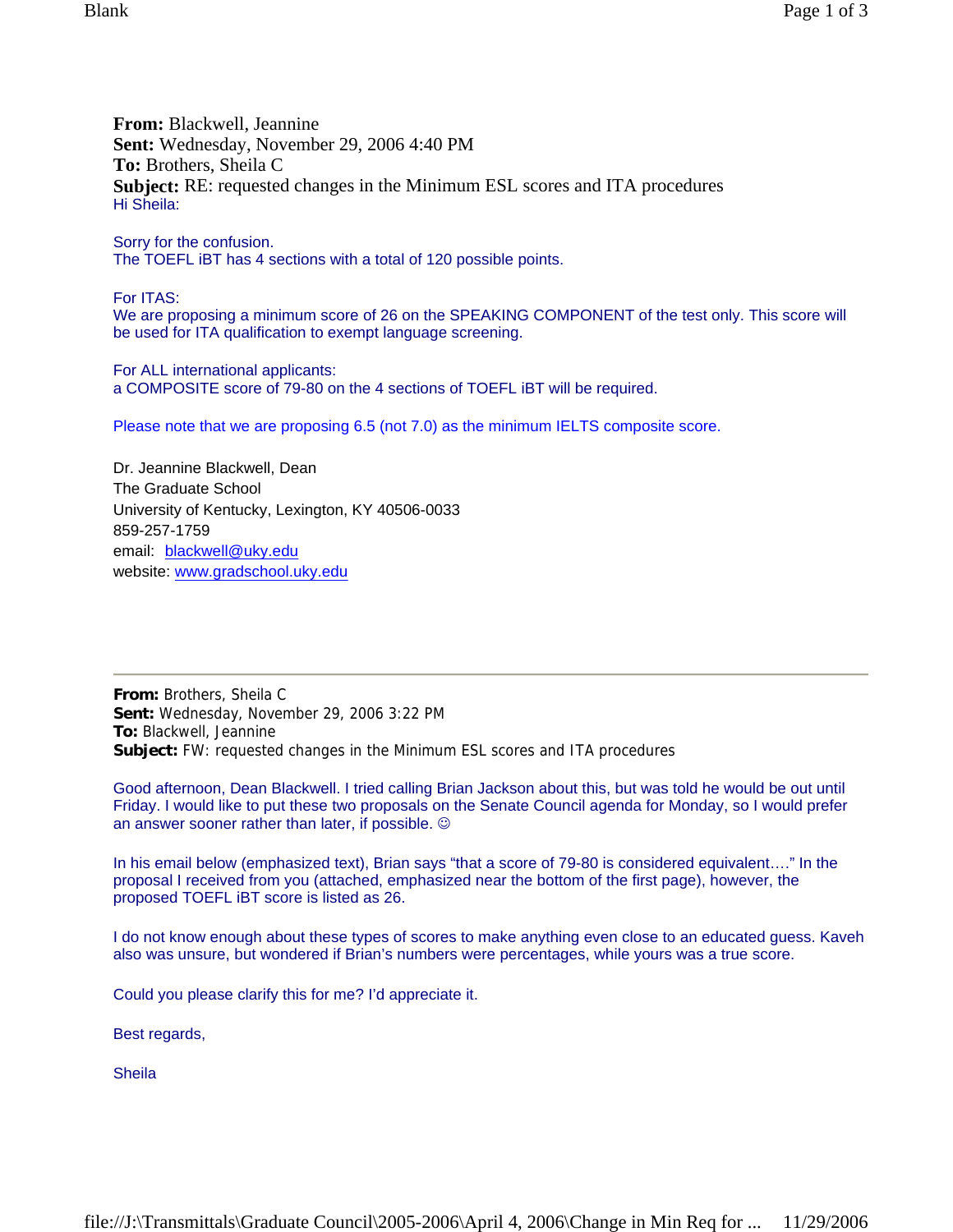**From:** Blackwell, Jeannine **Sent:** Wednesday, November 29, 2006 4:40 PM **To:** Brothers, Sheila C **Subject:** RE: requested changes in the Minimum ESL scores and ITA procedures Hi Sheila:

Sorry for the confusion. The TOEFL iBT has 4 sections with a total of 120 possible points.

For ITAS:

We are proposing a minimum score of 26 on the SPEAKING COMPONENT of the test only. This score will be used for ITA qualification to exempt language screening.

For ALL international applicants: a COMPOSITE score of 79-80 on the 4 sections of TOEFL iBT will be required.

Please note that we are proposing 6.5 (not 7.0) as the minimum IELTS composite score.

Dr. Jeannine Blackwell, Dean The Graduate School University of Kentucky, Lexington, KY 40506-0033 859-257-1759 email: blackwell@uky.edu website: www.gradschool.uky.edu

**From:** Brothers, Sheila C **Sent:** Wednesday, November 29, 2006 3:22 PM **To:** Blackwell, Jeannine **Subject:** FW: requested changes in the Minimum ESL scores and ITA procedures

Good afternoon, Dean Blackwell. I tried calling Brian Jackson about this, but was told he would be out until Friday. I would like to put these two proposals on the Senate Council agenda for Monday, so I would prefer an answer sooner rather than later, if possible.  $\odot$ 

In his email below (emphasized text), Brian says "that a score of 79-80 is considered equivalent…." In the proposal I received from you (attached, emphasized near the bottom of the first page), however, the proposed TOEFL iBT score is listed as 26.

I do not know enough about these types of scores to make anything even close to an educated guess. Kaveh also was unsure, but wondered if Brian's numbers were percentages, while yours was a true score.

Could you please clarify this for me? I'd appreciate it.

Best regards,

**Sheila**